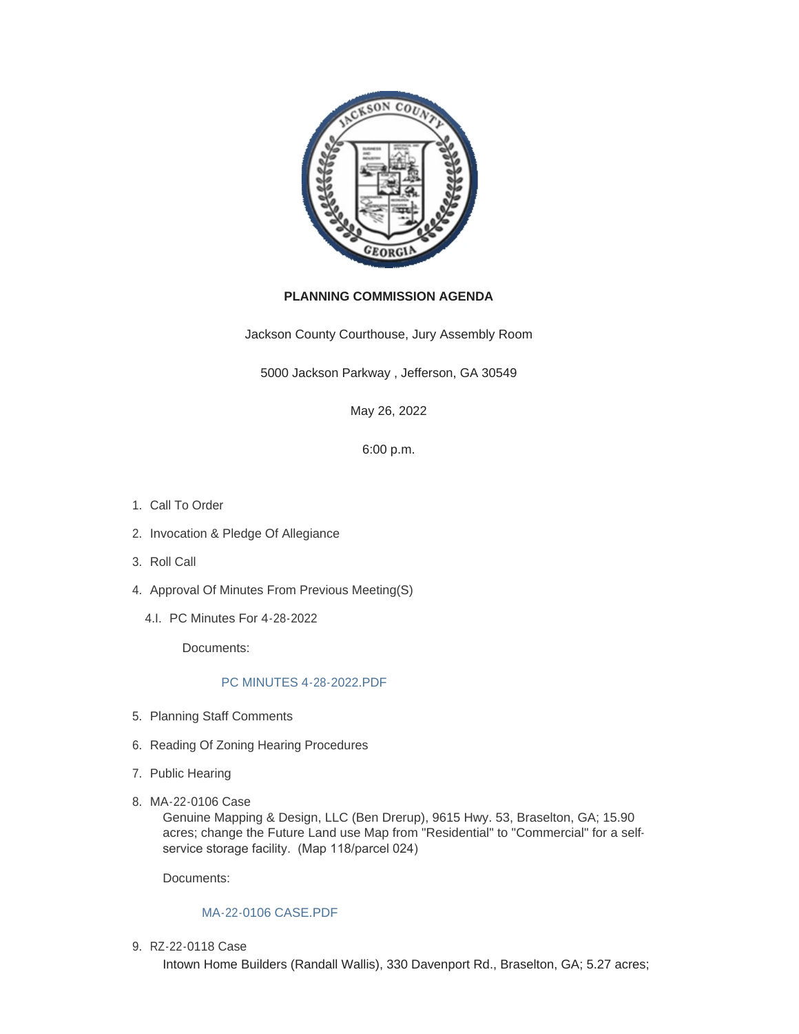

# **PLANNING COMMISSION AGENDA**

Jackson County Courthouse, Jury Assembly Room

5000 Jackson Parkway , Jefferson, GA 30549

May 26, 2022

6:00 p.m.

- 1. Call To Order
- 2. Invocation & Pledge Of Allegiance
- 3. Roll Call
- 4. Approval Of Minutes From Previous Meeting(S)
	- PC Minutes For 4-28-2022 4.I.

Documents:

# [PC MINUTES 4-28-2022.PDF](http://www.jacksoncountygov.com/AgendaCenter/ViewFile/Item/1770?fileID=12461)

- 5. Planning Staff Comments
- 6. Reading Of Zoning Hearing Procedures
- 7. Public Hearing
- MA-22-0106 Case 8.

Genuine Mapping & Design, LLC (Ben Drerup), 9615 Hwy. 53, Braselton, GA; 15.90 acres; change the Future Land use Map from "Residential" to "Commercial" for a selfservice storage facility. (Map 118/parcel 024)

Documents:

# [MA-22-0106 CASE.PDF](http://www.jacksoncountygov.com/AgendaCenter/ViewFile/Item/1800?fileID=12488)

RZ-22-0118 Case 9.

Intown Home Builders (Randall Wallis), 330 Davenport Rd., Braselton, GA; 5.27 acres;